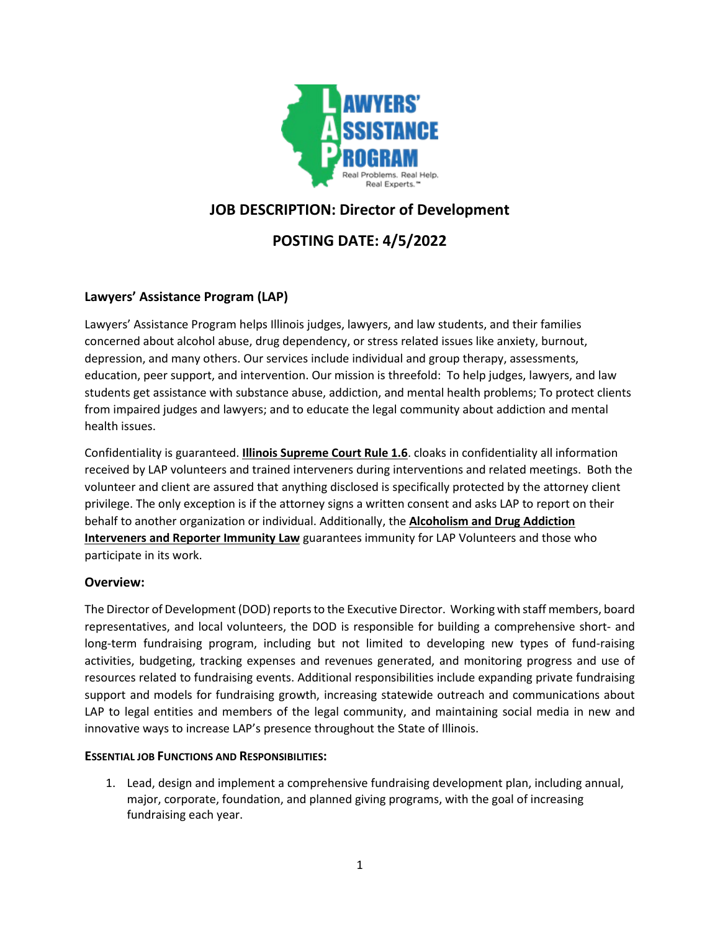

# **JOB DESCRIPTION: Director of Development**

## **POSTING DATE: 4/5/2022**

## **Lawyers' Assistance Program (LAP)**

Lawyers' Assistance Program helps Illinois judges, lawyers, and law students, and their families concerned about alcohol abuse, drug dependency, or stress related issues like anxiety, burnout, depression, and many others. Our services include individual and group therapy, assessments, education, peer support, and intervention. Our mission is threefold: To help judges, lawyers, and law students get assistance with substance abuse, addiction, and mental health problems; To protect clients from impaired judges and lawyers; and to educate the legal community about addiction and mental health issues.

Confidentiality is guaranteed. **[Illinois Supreme Court Rule 1.6](http://www.illinoiscourts.gov/supremecourt/rules/art_viii/ArtVIII_NEW.htm#1.6)**. cloaks in confidentiality all information received by LAP volunteers and trained interveners during interventions and related meetings. Both the volunteer and client are assured that anything disclosed is specifically protected by the attorney client privilege. The only exception is if the attorney signs a written consent and asks LAP to report on their behalf to another organization or individual. Additionally, the **[Alcoholism and Drug Addiction](http://www.ilga.gov/legislation/ilcs/ilcs3.asp?ActID=2069&ChapterID=58)  [Interveners and Reporter Immunity Law](http://www.ilga.gov/legislation/ilcs/ilcs3.asp?ActID=2069&ChapterID=58)** guarantees immunity for LAP Volunteers and those who participate in its work.

## **Overview:**

The Director of Development (DOD) reports to the Executive Director. Working with staff members, board representatives, and local volunteers, the DOD is responsible for building a comprehensive short- and long-term fundraising program, including but not limited to developing new types of fund-raising activities, budgeting, tracking expenses and revenues generated, and monitoring progress and use of resources related to fundraising events. Additional responsibilities include expanding private fundraising support and models for fundraising growth, increasing statewide outreach and communications about LAP to legal entities and members of the legal community, and maintaining social media in new and innovative ways to increase LAP's presence throughout the State of Illinois.

#### **ESSENTIAL JOB FUNCTIONS AND RESPONSIBILITIES:**

1. Lead, design and implement a comprehensive fundraising development plan, including annual, major, corporate, foundation, and planned giving programs, with the goal of increasing fundraising each year.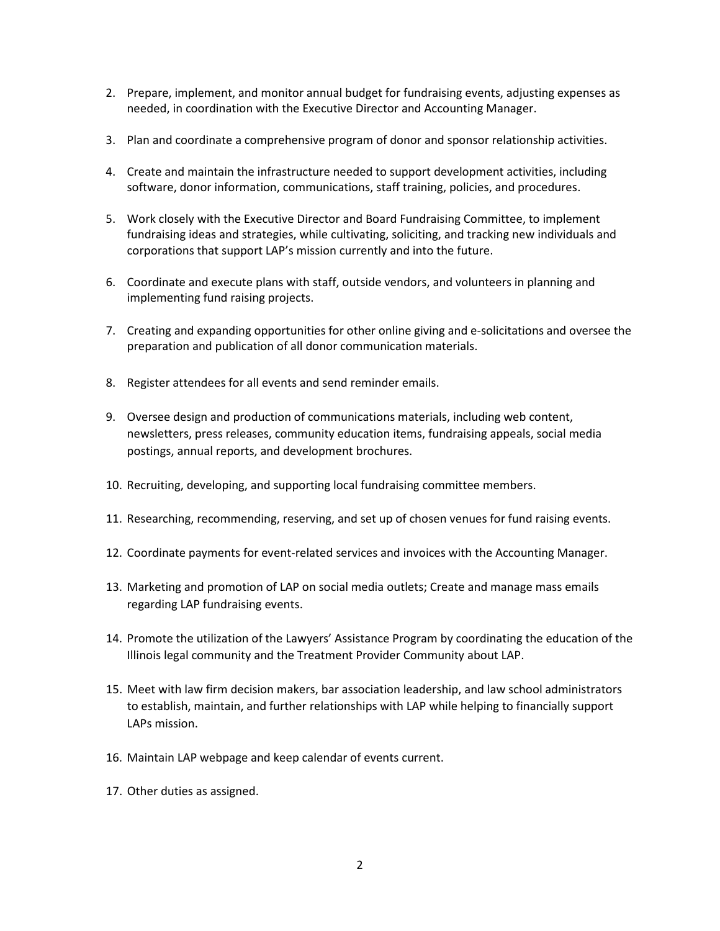- 2. Prepare, implement, and monitor annual budget for fundraising events, adjusting expenses as needed, in coordination with the Executive Director and Accounting Manager.
- 3. Plan and coordinate a comprehensive program of donor and sponsor relationship activities.
- 4. Create and maintain the infrastructure needed to support development activities, including software, donor information, communications, staff training, policies, and procedures.
- 5. Work closely with the Executive Director and Board Fundraising Committee, to implement fundraising ideas and strategies, while cultivating, soliciting, and tracking new individuals and corporations that support LAP's mission currently and into the future.
- 6. Coordinate and execute plans with staff, outside vendors, and volunteers in planning and implementing fund raising projects.
- 7. Creating and expanding opportunities for other online giving and e-solicitations and oversee the preparation and publication of all donor communication materials.
- 8. Register attendees for all events and send reminder emails.
- 9. Oversee design and production of communications materials, including web content, newsletters, press releases, community education items, fundraising appeals, social media postings, annual reports, and development brochures.
- 10. Recruiting, developing, and supporting local fundraising committee members.
- 11. Researching, recommending, reserving, and set up of chosen venues for fund raising events.
- 12. Coordinate payments for event-related services and invoices with the Accounting Manager.
- 13. Marketing and promotion of LAP on social media outlets; Create and manage mass emails regarding LAP fundraising events.
- 14. Promote the utilization of the Lawyers' Assistance Program by coordinating the education of the Illinois legal community and the Treatment Provider Community about LAP.
- 15. Meet with law firm decision makers, bar association leadership, and law school administrators to establish, maintain, and further relationships with LAP while helping to financially support LAPs mission.
- 16. Maintain LAP webpage and keep calendar of events current.
- 17. Other duties as assigned.